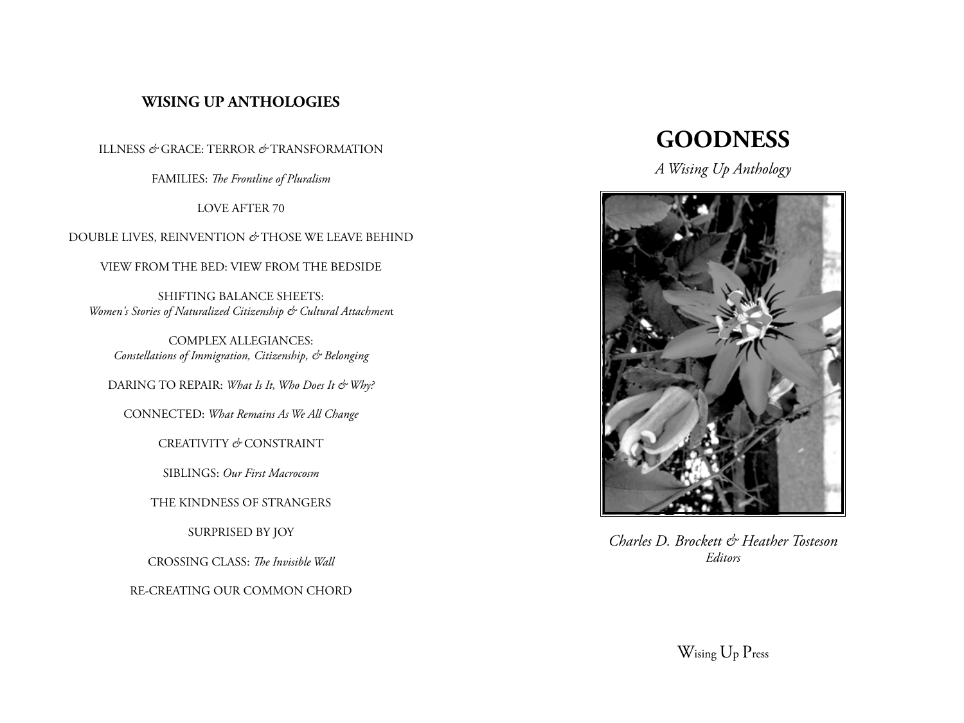# **WISING UP ANTHOLOGIES**

ILLNESS *&* GRACE: TERROR *&* TRANSFORMATION

FAMILIES: *The Frontline of Pluralism*

LOVE AFTER 70

DOUBLE LIVES, REINVENTION *&* THOSE WE LEAVE BEHIND

VIEW FROM THE BED: VIEW FROM THE BEDSIDE

SHIFTING BALANCE SHEETS: *Women's Stories of Naturalized Citizenship & Cultural Attachmen*t

COMPLEX ALLEGIANCES: *Constellations of Immigration, Citizenship, & Belonging*

DARING TO REPAIR: *What Is It, Who Does It & Why?* 

CONNECTED: *What Remains As We All Change*

CREATIVITY *&* CONSTRAINT

SIBLINGS: *Our First Macrocosm*

THE KINDNESS OF STRANGERS

SURPRISED BY JOY

CROSSING CLASS: *The Invisible Wall*

RE-CREATING OUR COMMON CHORD

# **GOODNESS**

*A Wising Up Anthology*



*Charles D. Brockett & Heather Tosteson Editors*

Wising Up Press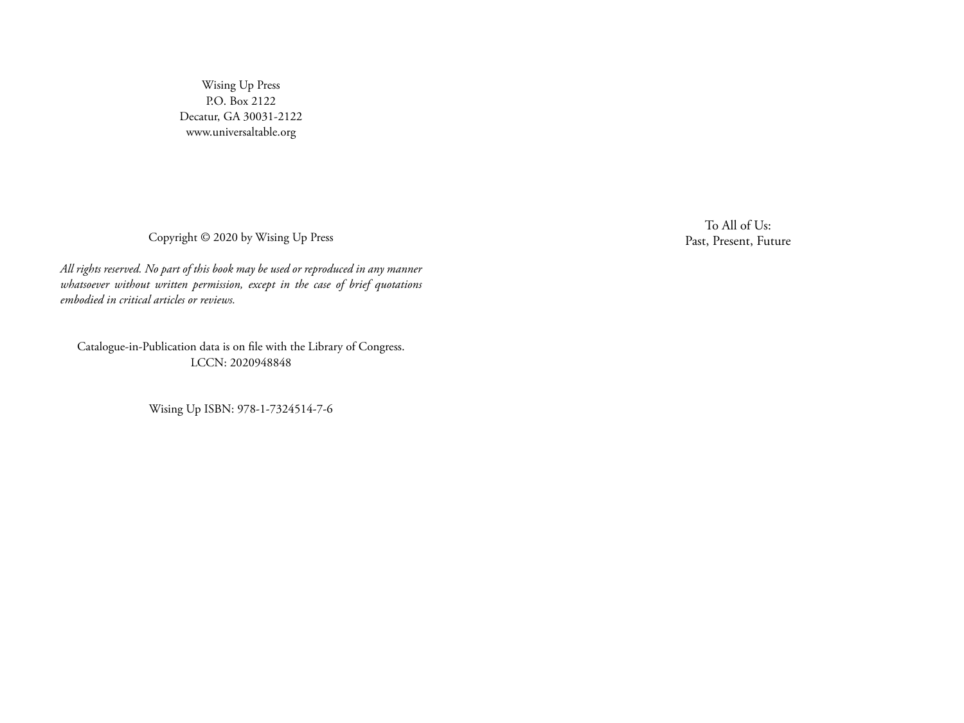Wising Up Press P.O. Box 2122 Decatur, GA 30031-2122 www.universaltable.org

Copyright © 2020 by Wising Up Press

*All rights reserved. No part of this book may be used or reproduced in any manner whatsoever without written permission, except in the case of brief quotations embodied in critical articles or reviews.*

Catalogue-in-Publication data is on file with the Library of Congress. LCCN: 2020948848

Wising Up ISBN: 978-1-7324514-7-6

To All of Us: Past, Present, Future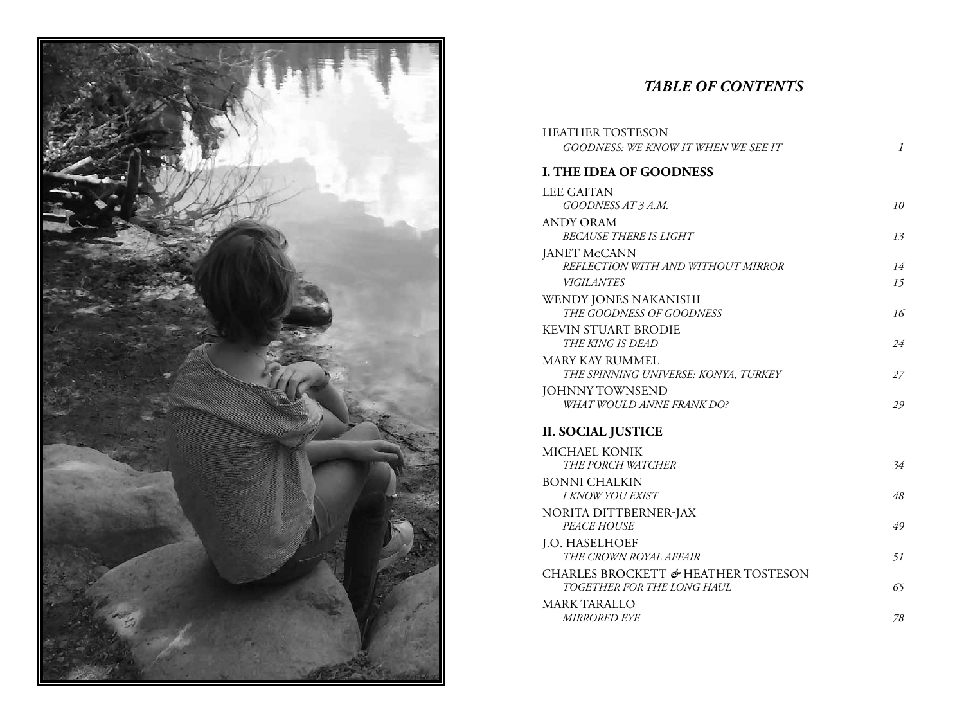

# *TABLE OF Contents*

| <b>HEATHER TOSTESON</b>              |               |
|--------------------------------------|---------------|
| GOODNESS: WE KNOW IT WHEN WE SEE IT  | $\mathcal{I}$ |
| <b>I. THE IDEA OF GOODNESS</b>       |               |
| <b>LEE GAITAN</b>                    |               |
| GOODNESS AT 3 A.M.                   | 10            |
| <b>ANDY ORAM</b>                     |               |
| <b>BECAUSE THERE IS LIGHT</b>        | 13            |
| <b>JANET McCANN</b>                  |               |
| REFLECTION WITH AND WITHOUT MIRROR   | 14            |
| <b>VIGILANTES</b>                    | 15            |
| WENDY JONES NAKANISHI                |               |
| THE GOODNESS OF GOODNESS             | 16            |
| <b>KEVIN STUART BRODIE</b>           |               |
| THE KING IS DEAD                     | 24            |
| <b>MARY KAY RUMMEL</b>               |               |
| THE SPINNING UNIVERSE: KONYA, TURKEY | 27            |
| <b>JOHNNY TOWNSEND</b>               |               |
| WHAT WOULD ANNE FRANK DO?            | 29            |
| <b>II. SOCIAL JUSTICE</b>            |               |
| MICHAEL KONIK                        |               |
| THE PORCH WATCHER                    | 34            |
| <b>BONNI CHALKIN</b>                 |               |
| I KNOW YOU EXIST                     | 48            |
| NORITA DITTBERNER-JAX                |               |
| PEACE HOUSE                          | 49            |
| <b>J.O. HASELHOEF</b>                |               |
| THE CROWN ROYAL AFFAIR               | 51            |
| CHARLES BROCKETT & HEATHER TOSTESON  |               |
| TOGETHER FOR THE LONG HAUL           | 65            |
| <b>MARK TARALLO</b>                  |               |
| <i>MIRRORED EYE</i>                  | 78            |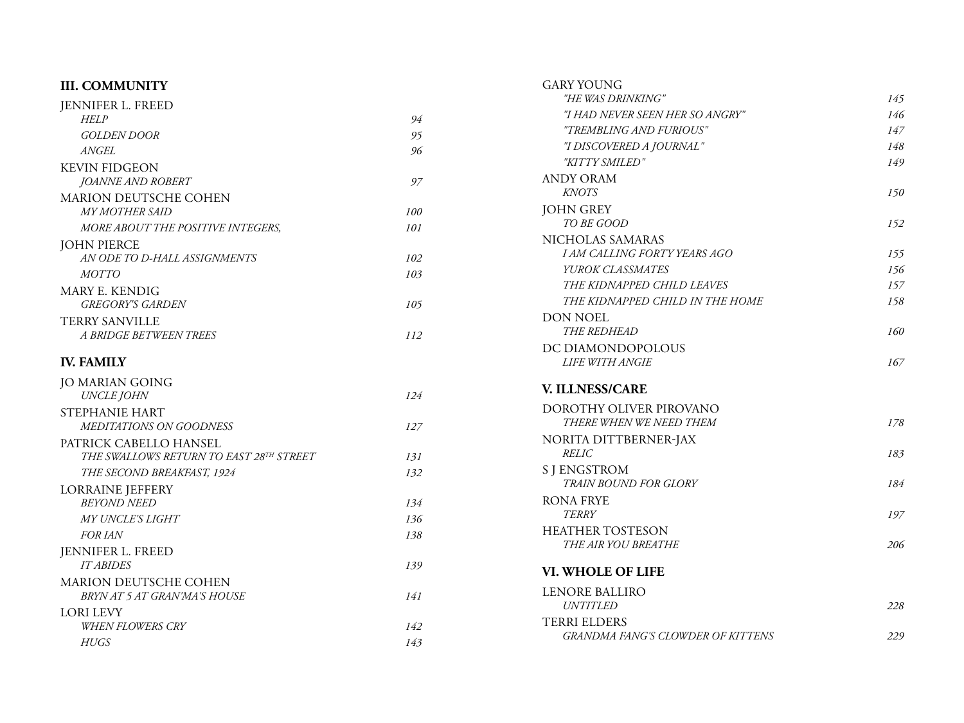| <b>III. COMMUNITY</b>                   |     | <b>GARY YOUNG</b>                        |     |
|-----------------------------------------|-----|------------------------------------------|-----|
| JENNIFER L. FREED                       |     | "HE WAS DRINKING"                        | 145 |
| <b>HELP</b>                             | 94  | "I HAD NEVER SEEN HER SO ANGRY"          | 146 |
| <b>GOLDEN DOOR</b>                      | 95  | "TREMBLING AND FURIOUS"                  | 147 |
| <b>ANGEL</b>                            | 96  | "I DISCOVERED A JOURNAL"                 | 148 |
| <b>KEVIN FIDGEON</b>                    |     | "KITTY SMILED"                           | 149 |
| <b>JOANNE AND ROBERT</b>                | 97  | <b>ANDY ORAM</b>                         |     |
| MARION DEUTSCHE COHEN                   |     | <b>KNOTS</b>                             | 150 |
| <b>MY MOTHER SAID</b>                   | 100 | <b>JOHN GREY</b>                         |     |
| MORE ABOUT THE POSITIVE INTEGERS,       | 101 | TO BE GOOD                               | 152 |
| <b>JOHN PIERCE</b>                      |     | NICHOLAS SAMARAS                         |     |
| AN ODE TO D-HALL ASSIGNMENTS            | 102 | I AM CALLING FORTY YEARS AGO             | 155 |
| <b>MOTTO</b>                            | 103 | YUROK CLASSMATES                         | 156 |
| MARY E. KENDIG                          |     | THE KIDNAPPED CHILD LEAVES               | 157 |
| <b>GREGORY'S GARDEN</b>                 | 105 | THE KIDNAPPED CHILD IN THE HOME          | 158 |
| <b>TERRY SANVILLE</b>                   |     | <b>DON NOEL</b>                          |     |
| A BRIDGE BETWEEN TREES                  | 112 | THE REDHEAD                              | 160 |
|                                         |     | DC DIAMONDOPOLOUS                        |     |
| <b>IV. FAMILY</b>                       |     | <b>LIFE WITH ANGIE</b>                   | 167 |
| <b>JO MARIAN GOING</b>                  |     |                                          |     |
| <b>UNCLE JOHN</b>                       | 124 | V. ILLNESS/CARE                          |     |
| STEPHANIE HART                          |     | DOROTHY OLIVER PIROVANO                  |     |
| MEDITATIONS ON GOODNESS                 | 127 | THERE WHEN WE NEED THEM                  | 178 |
| PATRICK CABELLO HANSEL                  |     | NORITA DITTBERNER-JAX                    |     |
| THE SWALLOWS RETURN TO EAST 28TH STREET | 131 | <b>RELIC</b>                             | 183 |
| THE SECOND BREAKFAST, 1924              | 132 | <b>S J ENGSTROM</b>                      |     |
| <b>LORRAINE JEFFERY</b>                 |     | <b>TRAIN BOUND FOR GLORY</b>             | 184 |
| <b>BEYOND NEED</b>                      | 134 | <b>RONA FRYE</b>                         |     |
| <b>MY UNCLE'S LIGHT</b>                 | 136 | <b>TERRY</b>                             | 197 |
| <b>FOR IAN</b>                          | 138 | <b>HEATHER TOSTESON</b>                  |     |
| <b>JENNIFER L. FREED</b>                |     | THE AIR YOU BREATHE                      | 206 |
| <b>IT ABIDES</b>                        | 139 | VI. WHOLE OF LIFE                        |     |
| MARION DEUTSCHE COHEN                   |     |                                          |     |
| BRYN AT 5 AT GRAN'MA'S HOUSE            | 141 | <b>LENORE BALLIRO</b>                    |     |
| <b>LORI LEVY</b>                        |     | UNTITLED                                 | 228 |
| <b>WHEN FLOWERS CRY</b>                 | 142 | <b>TERRI ELDERS</b>                      |     |
| <b>HUGS</b>                             | 143 | <b>GRANDMA FANG'S CLOWDER OF KITTENS</b> | 229 |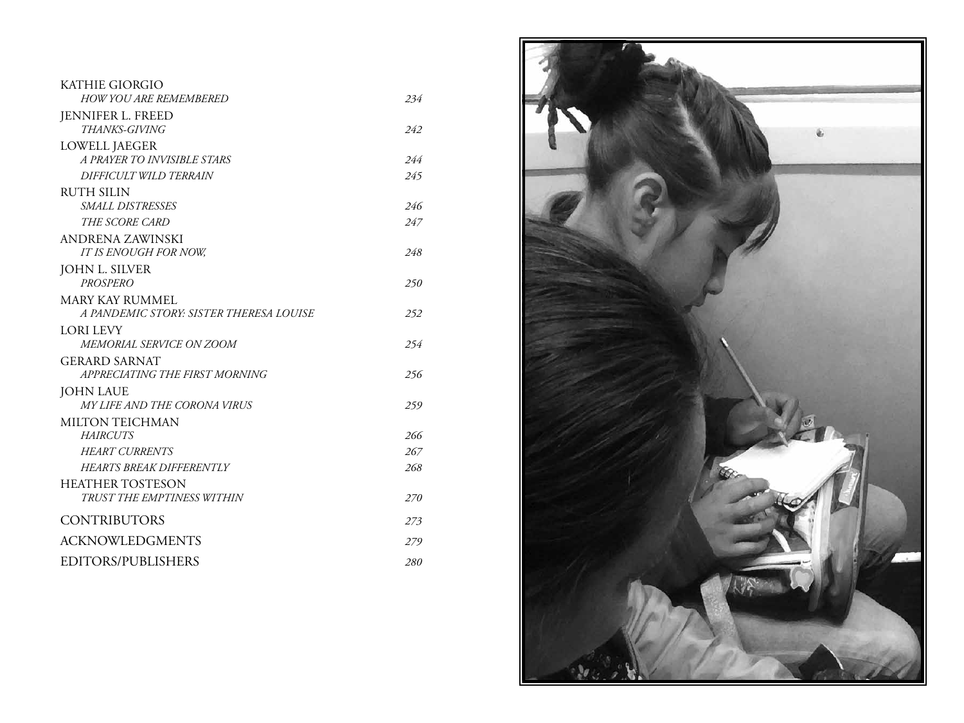| <b>KATHIE GIORGIO</b>                   |     |
|-----------------------------------------|-----|
| <b>HOW YOU ARE REMEMBERED</b>           | 234 |
| JENNIFER L. FREED                       |     |
| <i>THANKS-GIVING</i>                    | 242 |
| <b>LOWELL JAEGER</b>                    |     |
| A PRAYER TO INVISIBLE STARS             | 244 |
| DIFFICULT WILD TERRAIN                  | 245 |
| <b>RUTH SILIN</b>                       |     |
| SMALL DISTRESSES                        | 246 |
| THE SCORE CARD                          | 247 |
| ANDRENA ZAWINSKI                        |     |
| IT IS ENOUGH FOR NOW,                   | 248 |
| JOHN L. SILVER                          |     |
| <b>PROSPERO</b>                         | 250 |
| <b>MARY KAY RUMMEL</b>                  |     |
| A PANDEMIC STORY: SISTER THERESA LOUISE | 252 |
| <b>LORI LEVY</b>                        |     |
| MEMORIAL SERVICE ON ZOOM                | 254 |
| <b>GERARD SARNAT</b>                    |     |
| APPRECIATING THE FIRST MORNING          | 256 |
| <b>JOHN LAUE</b>                        |     |
| <i>MY LIFE AND THE CORONA VIRUS</i>     | 259 |
| <b>MILTON TEICHMAN</b>                  |     |
| <b>HAIRCUTS</b>                         | 266 |
| <b>HEART CURRENTS</b>                   | 267 |
| <b>HEARTS BREAK DIFFERENTLY</b>         | 268 |
| <b>HEATHER TOSTESON</b>                 |     |
| TRUST THE EMPTINESS WITHIN              | 270 |
| <b>CONTRIBUTORS</b>                     | 273 |
| <b>ACKNOWLEDGMENTS</b>                  | 279 |
| EDITORS/PUBLISHERS                      | 280 |

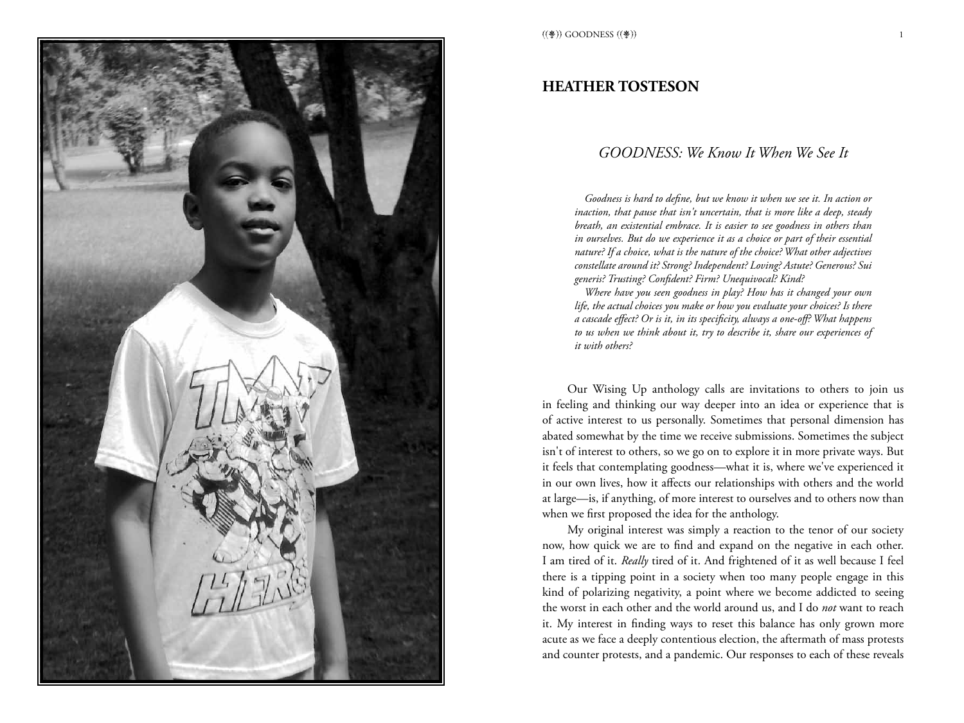

#### **HEATHER TOSTESON**

#### *GOODNESS: We Know It When We See It*

*Goodness is hard to define, but we know it when we see it. In action or inaction, that pause that isn't uncertain, that is more like a deep, steady breath, an existential embrace. It is easier to see goodness in others than in ourselves. But do we experience it as a choice or part of their essential nature? If a choice, what is the nature of the choice? What other adjectives constellate around it? Strong? Independent? Loving? Astute? Generous? Sui generis? Trusting? Confident? Firm? Unequivocal? Kind?*

*Where have you seen goodness in play? How has it changed your own life, the actual choices you make or how you evaluate your choices? Is there a cascade effect? Or is it, in its specificity, always a one-off? What happens to us when we think about it, try to describe it, share our experiences of it with others?* 

Our Wising Up anthology calls are invitations to others to join us in feeling and thinking our way deeper into an idea or experience that is of active interest to us personally. Sometimes that personal dimension has abated somewhat by the time we receive submissions. Sometimes the subject isn't of interest to others, so we go on to explore it in more private ways. But it feels that contemplating goodness—what it is, where we've experienced it in our own lives, how it affects our relationships with others and the world at large—is, if anything, of more interest to ourselves and to others now than when we first proposed the idea for the anthology.

My original interest was simply a reaction to the tenor of our society now, how quick we are to find and expand on the negative in each other. I am tired of it. *Really* tired of it. And frightened of it as well because I feel there is a tipping point in a society when too many people engage in this kind of polarizing negativity, a point where we become addicted to seeing the worst in each other and the world around us, and I do *not* want to reach it. My interest in finding ways to reset this balance has only grown more acute as we face a deeply contentious election, the aftermath of mass protests and counter protests, and a pandemic. Our responses to each of these reveals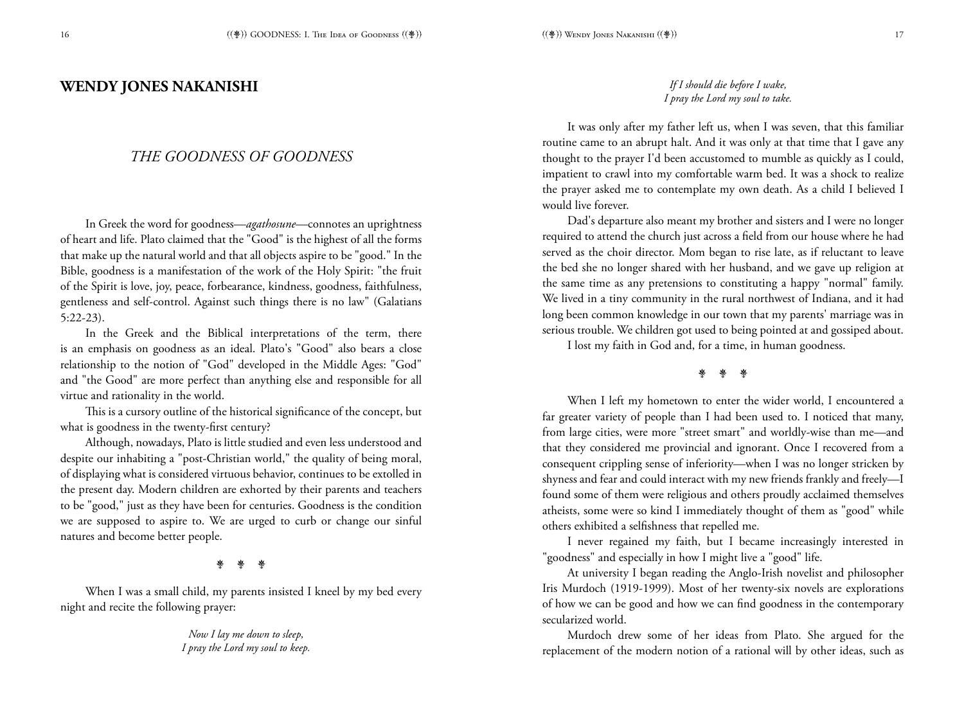#### **WENDY JONES NAKANISHI**

#### *THE GOODNESS OF GOODNESS*

In Greek the word for goodness—*agathosune*—connotes an uprightness of heart and life. Plato claimed that the "Good" is the highest of all the forms that make up the natural world and that all objects aspire to be "good." In the Bible, goodness is a manifestation of the work of the Holy Spirit: "the fruit of the Spirit is love, joy, peace, forbearance, kindness, goodness, faithfulness, gentleness and self-control. Against such things there is no law" (Galatians 5:22-23).

In the Greek and the Biblical interpretations of the term, there is an emphasis on goodness as an ideal. Plato's "Good" also bears a close relationship to the notion of "God" developed in the Middle Ages: "God" and "the Good" are more perfect than anything else and responsible for all virtue and rationality in the world.

This is a cursory outline of the historical significance of the concept, but what is goodness in the twenty-first century?

Although, nowadays, Plato is little studied and even less understood and despite our inhabiting a "post-Christian world," the quality of being moral, of displaying what is considered virtuous behavior, continues to be extolled in the present day. Modern children are exhorted by their parents and teachers to be "good," just as they have been for centuries. Goodness is the condition we are supposed to aspire to. We are urged to curb or change our sinful natures and become better people.

#### 亲亲亲

When I was a small child, my parents insisted I kneel by my bed every night and recite the following prayer:

> *Now I lay me down to sleep, I pray the Lord my soul to keep.*

#### *If I should die before I wake, I pray the Lord my soul to take.*

It was only after my father left us, when I was seven, that this familiar routine came to an abrupt halt. And it was only at that time that I gave any thought to the prayer I'd been accustomed to mumble as quickly as I could, impatient to crawl into my comfortable warm bed. It was a shock to realize the prayer asked me to contemplate my own death. As a child I believed I would live forever.

Dad's departure also meant my brother and sisters and I were no longer required to attend the church just across a field from our house where he had served as the choir director. Mom began to rise late, as if reluctant to leave the bed she no longer shared with her husband, and we gave up religion at the same time as any pretensions to constituting a happy "normal" family. We lived in a tiny community in the rural northwest of Indiana, and it had long been common knowledge in our town that my parents' marriage was in serious trouble. We children got used to being pointed at and gossiped about.

I lost my faith in God and, for a time, in human goodness.

**\*** 

When I left my hometown to enter the wider world, I encountered a far greater variety of people than I had been used to. I noticed that many, from large cities, were more "street smart" and worldly-wise than me—and that they considered me provincial and ignorant. Once I recovered from a consequent crippling sense of inferiority—when I was no longer stricken by shyness and fear and could interact with my new friends frankly and freely—I found some of them were religious and others proudly acclaimed themselves atheists, some were so kind I immediately thought of them as "good" while others exhibited a selfishness that repelled me.

I never regained my faith, but I became increasingly interested in "goodness" and especially in how I might live a "good" life.

At university I began reading the Anglo-Irish novelist and philosopher Iris Murdoch (1919-1999). Most of her twenty-six novels are explorations of how we can be good and how we can find goodness in the contemporary secularized world.

Murdoch drew some of her ideas from Plato. She argued for the replacement of the modern notion of a rational will by other ideas, such as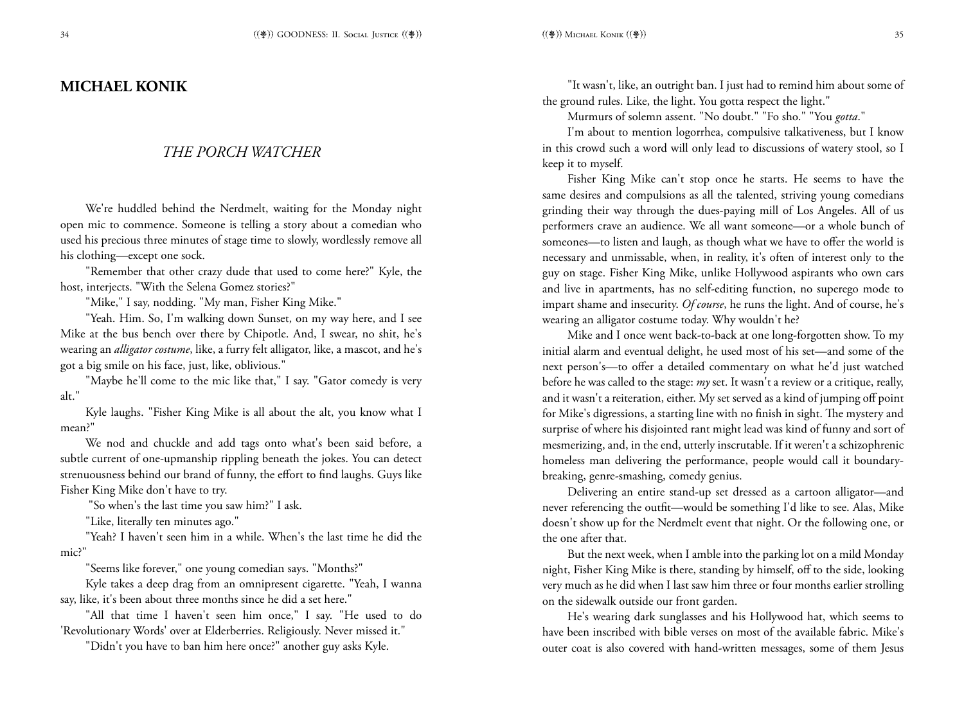## **MICHAEL KONIK**

#### *THE PORCH WATCHER*

We're huddled behind the Nerdmelt, waiting for the Monday night open mic to commence. Someone is telling a story about a comedian who used his precious three minutes of stage time to slowly, wordlessly remove all his clothing—except one sock.

"Remember that other crazy dude that used to come here?" Kyle, the host, interjects. "With the Selena Gomez stories?"

"Mike," I say, nodding. "My man, Fisher King Mike."

"Yeah. Him. So, I'm walking down Sunset, on my way here, and I see Mike at the bus bench over there by Chipotle. And, I swear, no shit, he's wearing an *alligator costume*, like, a furry felt alligator, like, a mascot, and he's got a big smile on his face, just, like, oblivious."

"Maybe he'll come to the mic like that," I say. "Gator comedy is very alt."

Kyle laughs. "Fisher King Mike is all about the alt, you know what I mean?"

We nod and chuckle and add tags onto what's been said before, a subtle current of one-upmanship rippling beneath the jokes. You can detect strenuousness behind our brand of funny, the effort to find laughs. Guys like Fisher King Mike don't have to try.

"So when's the last time you saw him?" I ask.

"Like, literally ten minutes ago."

"Yeah? I haven't seen him in a while. When's the last time he did the mic?"

"Seems like forever," one young comedian says. "Months?"

Kyle takes a deep drag from an omnipresent cigarette. "Yeah, I wanna say, like, it's been about three months since he did a set here."

"All that time I haven't seen him once," I say. "He used to do 'Revolutionary Words' over at Elderberries. Religiously. Never missed it."

"Didn't you have to ban him here once?" another guy asks Kyle.

"It wasn't, like, an outright ban. I just had to remind him about some of the ground rules. Like, the light. You gotta respect the light."

Murmurs of solemn assent. "No doubt." "Fo sho." "You *gotta*."

I'm about to mention logorrhea, compulsive talkativeness, but I know in this crowd such a word will only lead to discussions of watery stool, so I keep it to myself.

Fisher King Mike can't stop once he starts. He seems to have the same desires and compulsions as all the talented, striving young comedians grinding their way through the dues-paying mill of Los Angeles. All of us performers crave an audience. We all want someone—or a whole bunch of someones—to listen and laugh, as though what we have to offer the world is necessary and unmissable, when, in reality, it's often of interest only to the guy on stage. Fisher King Mike, unlike Hollywood aspirants who own cars and live in apartments, has no self-editing function, no superego mode to impart shame and insecurity. *Of course*, he runs the light. And of course, he's wearing an alligator costume today. Why wouldn't he?

Mike and I once went back-to-back at one long-forgotten show. To my initial alarm and eventual delight, he used most of his set—and some of the next person's—to offer a detailed commentary on what he'd just watched before he was called to the stage: *my* set. It wasn't a review or a critique, really, and it wasn't a reiteration, either. My set served as a kind of jumping off point for Mike's digressions, a starting line with no finish in sight. The mystery and surprise of where his disjointed rant might lead was kind of funny and sort of mesmerizing, and, in the end, utterly inscrutable. If it weren't a schizophrenic homeless man delivering the performance, people would call it boundarybreaking, genre-smashing, comedy genius.

Delivering an entire stand-up set dressed as a cartoon alligator—and never referencing the outfit—would be something I'd like to see. Alas, Mike doesn't show up for the Nerdmelt event that night. Or the following one, or the one after that.

But the next week, when I amble into the parking lot on a mild Monday night, Fisher King Mike is there, standing by himself, off to the side, looking very much as he did when I last saw him three or four months earlier strolling on the sidewalk outside our front garden.

He's wearing dark sunglasses and his Hollywood hat, which seems to have been inscribed with bible verses on most of the available fabric. Mike's outer coat is also covered with hand-written messages, some of them Jesus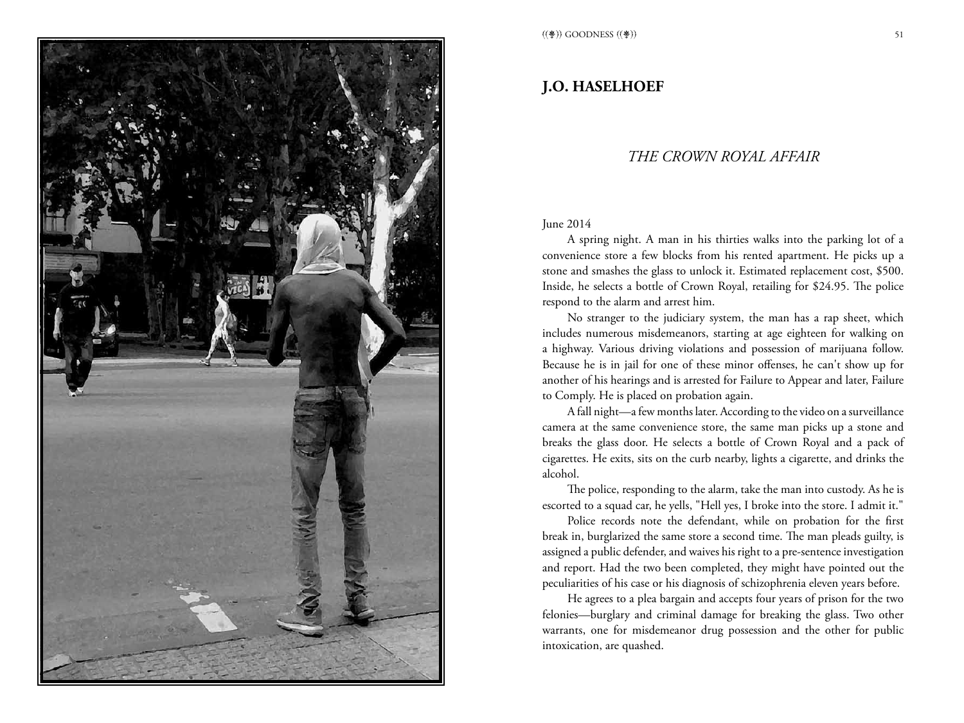

## **J.O. HASELHOEF**

## *THE CROWN ROYAL AFFAIR*

#### June 2014

A spring night. A man in his thirties walks into the parking lot of a convenience store a few blocks from his rented apartment. He picks up a stone and smashes the glass to unlock it. Estimated replacement cost, \$500. Inside, he selects a bottle of Crown Royal, retailing for \$24.95. The police respond to the alarm and arrest him.

No stranger to the judiciary system, the man has a rap sheet, which includes numerous misdemeanors, starting at age eighteen for walking on a highway. Various driving violations and possession of marijuana follow. Because he is in jail for one of these minor offenses, he can't show up for another of his hearings and is arrested for Failure to Appear and later, Failure to Comply. He is placed on probation again.

A fall night—a few months later. According to the video on a surveillance camera at the same convenience store, the same man picks up a stone and breaks the glass door. He selects a bottle of Crown Royal and a pack of cigarettes. He exits, sits on the curb nearby, lights a cigarette, and drinks the alcohol.

The police, responding to the alarm, take the man into custody. As he is escorted to a squad car, he yells, "Hell yes, I broke into the store. I admit it."

Police records note the defendant, while on probation for the first break in, burglarized the same store a second time. The man pleads guilty, is assigned a public defender, and waives his right to a pre-sentence investigation and report. Had the two been completed, they might have pointed out the peculiarities of his case or his diagnosis of schizophrenia eleven years before.

He agrees to a plea bargain and accepts four years of prison for the two felonies—burglary and criminal damage for breaking the glass. Two other warrants, one for misdemeanor drug possession and the other for public intoxication, are quashed.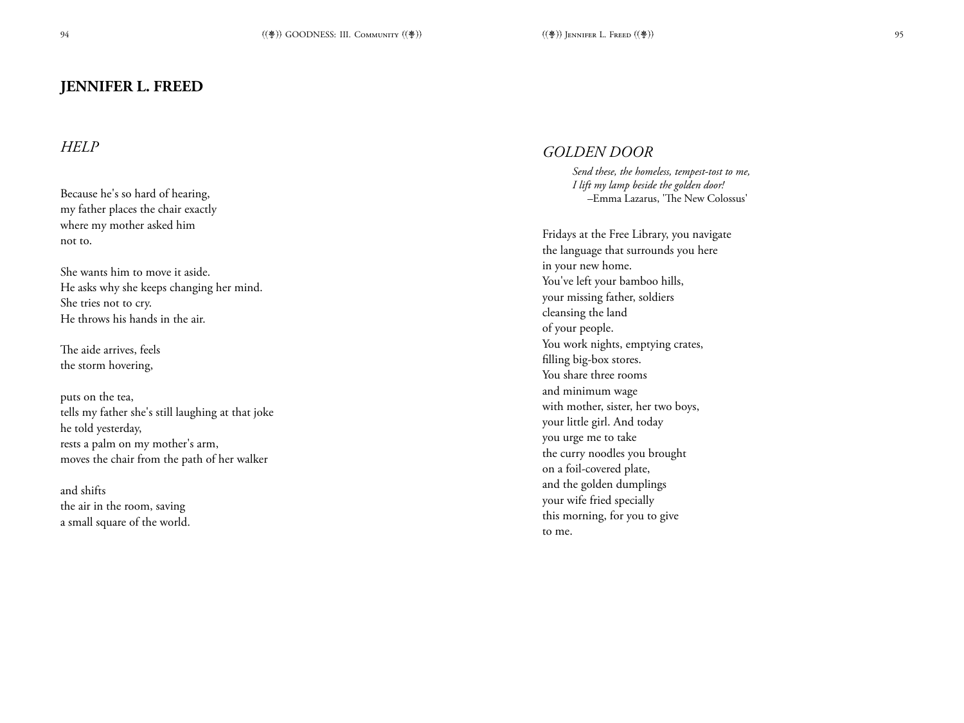## **JENNIFER L. FREED**

## *HELP*

Because he's so hard of hearing, my father places the chair exactly where my mother asked him not to.

She wants him to move it aside. He asks why she keeps changing her mind. She tries not to cry. He throws his hands in the air.

The aide arrives, feels the storm hovering,

puts on the tea, tells my father she's still laughing at that joke he told yesterday, rests a palm on my mother's arm, moves the chair from the path of her walker

and shifts the air in the room, saving a small square of the world.

### *GOLDEN DOOR*

*Send these, the homeless, tempest-tost to me, I lift my lamp beside the golden door!* –Emma Lazarus, 'The New Colossus'

Fridays at the Free Library, you navigate the language that surrounds you here in your new home. You've left your bamboo hills, your missing father, soldiers cleansing the land of your people. You work nights, emptying crates, filling big-box stores. You share three rooms and minimum wage with mother, sister, her two boys, your little girl. And today you urge me to take the curry noodles you brought on a foil-covered plate, and the golden dumplings your wife fried specially this morning, for you to give to me.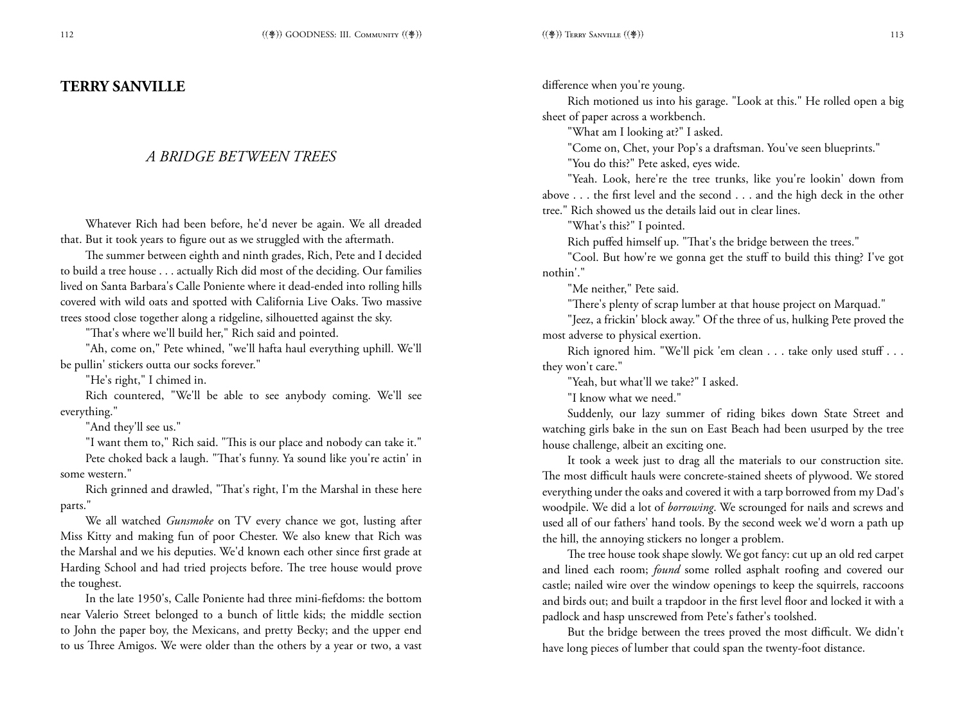#### **TERRY SANVILLE**

#### *A BRIDGE BETWEEN TREES*

Whatever Rich had been before, he'd never be again. We all dreaded that. But it took years to figure out as we struggled with the aftermath.

The summer between eighth and ninth grades, Rich, Pete and I decided to build a tree house . . . actually Rich did most of the deciding. Our families lived on Santa Barbara's Calle Poniente where it dead-ended into rolling hills covered with wild oats and spotted with California Live Oaks. Two massive trees stood close together along a ridgeline, silhouetted against the sky.

"That's where we'll build her," Rich said and pointed.

"Ah, come on," Pete whined, "we'll hafta haul everything uphill. We'll be pullin' stickers outta our socks forever."

"He's right," I chimed in.

Rich countered, "We'll be able to see anybody coming. We'll see everything."

"And they'll see us."

"I want them to," Rich said. "This is our place and nobody can take it."

Pete choked back a laugh. "That's funny. Ya sound like you're actin' in some western."

Rich grinned and drawled, "That's right, I'm the Marshal in these here parts."

We all watched *Gunsmoke* on TV every chance we got, lusting after Miss Kitty and making fun of poor Chester. We also knew that Rich was the Marshal and we his deputies. We'd known each other since first grade at Harding School and had tried projects before. The tree house would prove the toughest.

In the late 1950's, Calle Poniente had three mini-fiefdoms: the bottom near Valerio Street belonged to a bunch of little kids; the middle section to John the paper boy, the Mexicans, and pretty Becky; and the upper end to us Three Amigos. We were older than the others by a year or two, a vast difference when you're young.

Rich motioned us into his garage. "Look at this." He rolled open a big sheet of paper across a workbench.

"What am I looking at?" I asked.

"Come on, Chet, your Pop's a draftsman. You've seen blueprints."

"You do this?" Pete asked, eyes wide.

"Yeah. Look, here're the tree trunks, like you're lookin' down from above . . . the first level and the second . . . and the high deck in the other tree." Rich showed us the details laid out in clear lines.

"What's this?" I pointed.

Rich puffed himself up. "That's the bridge between the trees."

"Cool. But how're we gonna get the stuff to build this thing? I've got nothin'."

"Me neither," Pete said.

"There's plenty of scrap lumber at that house project on Marquad."

"Jeez, a frickin' block away." Of the three of us, hulking Pete proved the most adverse to physical exertion.

Rich ignored him. "We'll pick 'em clean . . . take only used stuff . . . they won't care."

"Yeah, but what'll we take?" I asked.

"I know what we need."

Suddenly, our lazy summer of riding bikes down State Street and watching girls bake in the sun on East Beach had been usurped by the tree house challenge, albeit an exciting one.

It took a week just to drag all the materials to our construction site. The most difficult hauls were concrete-stained sheets of plywood. We stored everything under the oaks and covered it with a tarp borrowed from my Dad's woodpile. We did a lot of *borrowing*. We scrounged for nails and screws and used all of our fathers' hand tools. By the second week we'd worn a path up the hill, the annoying stickers no longer a problem.

The tree house took shape slowly. We got fancy: cut up an old red carpet and lined each room; *found* some rolled asphalt roofing and covered our castle; nailed wire over the window openings to keep the squirrels, raccoons and birds out; and built a trapdoor in the first level floor and locked it with a padlock and hasp unscrewed from Pete's father's toolshed.

But the bridge between the trees proved the most difficult. We didn't have long pieces of lumber that could span the twenty-foot distance.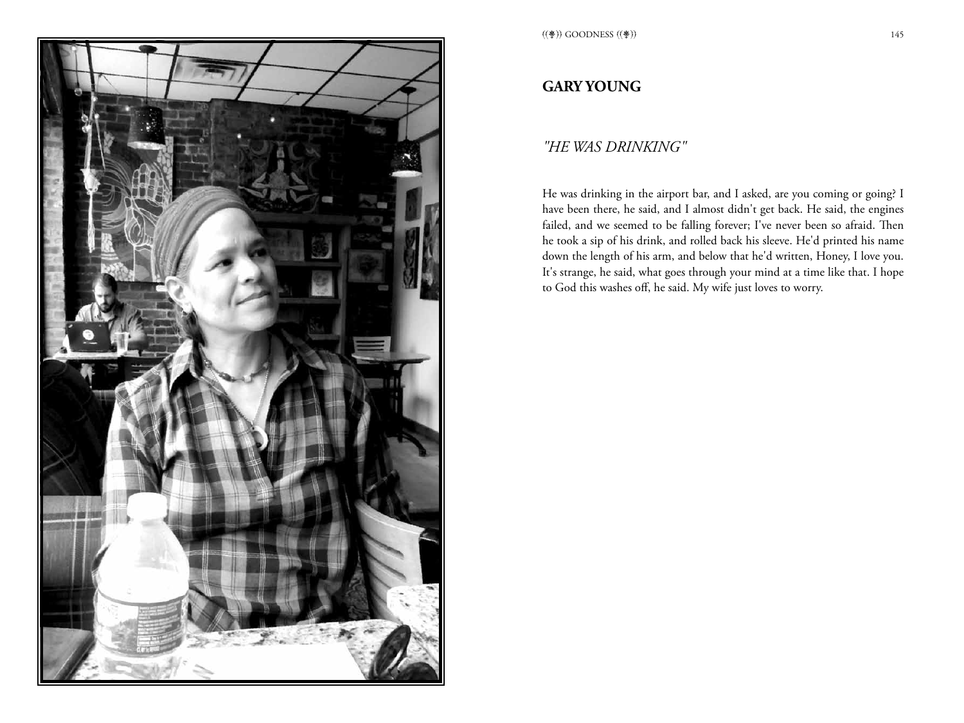

# **GARY YOUNG**

## *"HE WAS DRINKING"*

He was drinking in the airport bar, and I asked, are you coming or going? I have been there, he said, and I almost didn't get back. He said, the engines failed, and we seemed to be falling forever; I've never been so afraid. Then he took a sip of his drink, and rolled back his sleeve. He'd printed his name down the length of his arm, and below that he'd written, Honey, I love you. It's strange, he said, what goes through your mind at a time like that. I hope to God this washes off, he said. My wife just loves to worry.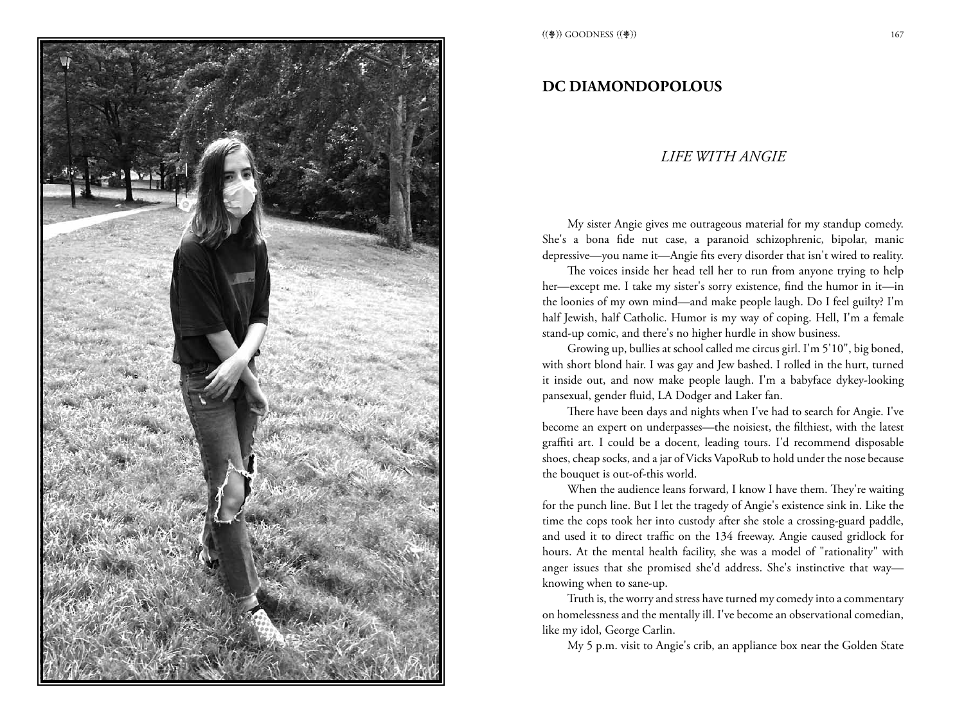

### **DC DIAMONDOPOLOUS**

#### *LIFE WITH ANGIE*

My sister Angie gives me outrageous material for my standup comedy. She's a bona fide nut case, a paranoid schizophrenic, bipolar, manic depressive—you name it—Angie fits every disorder that isn't wired to reality.

The voices inside her head tell her to run from anyone trying to help her—except me. I take my sister's sorry existence, find the humor in it—in the loonies of my own mind—and make people laugh. Do I feel guilty? I'm half Jewish, half Catholic. Humor is my way of coping. Hell, I'm a female stand-up comic, and there's no higher hurdle in show business.

Growing up, bullies at school called me circus girl. I'm 5'10", big boned, with short blond hair. I was gay and Jew bashed. I rolled in the hurt, turned it inside out, and now make people laugh. I'm a babyface dykey-looking pansexual, gender fluid, LA Dodger and Laker fan.

There have been days and nights when I've had to search for Angie. I've become an expert on underpasses—the noisiest, the filthiest, with the latest graffiti art. I could be a docent, leading tours. I'd recommend disposable shoes, cheap socks, and a jar of Vicks VapoRub to hold under the nose because the bouquet is out-of-this world.

When the audience leans forward, I know I have them. They're waiting for the punch line. But I let the tragedy of Angie's existence sink in. Like the time the cops took her into custody after she stole a crossing-guard paddle, and used it to direct traffic on the 134 freeway. Angie caused gridlock for hours. At the mental health facility, she was a model of "rationality" with anger issues that she promised she'd address. She's instinctive that way knowing when to sane-up.

Truth is, the worry and stress have turned my comedy into a commentary on homelessness and the mentally ill. I've become an observational comedian, like my idol, George Carlin.

My 5 p.m. visit to Angie's crib, an appliance box near the Golden State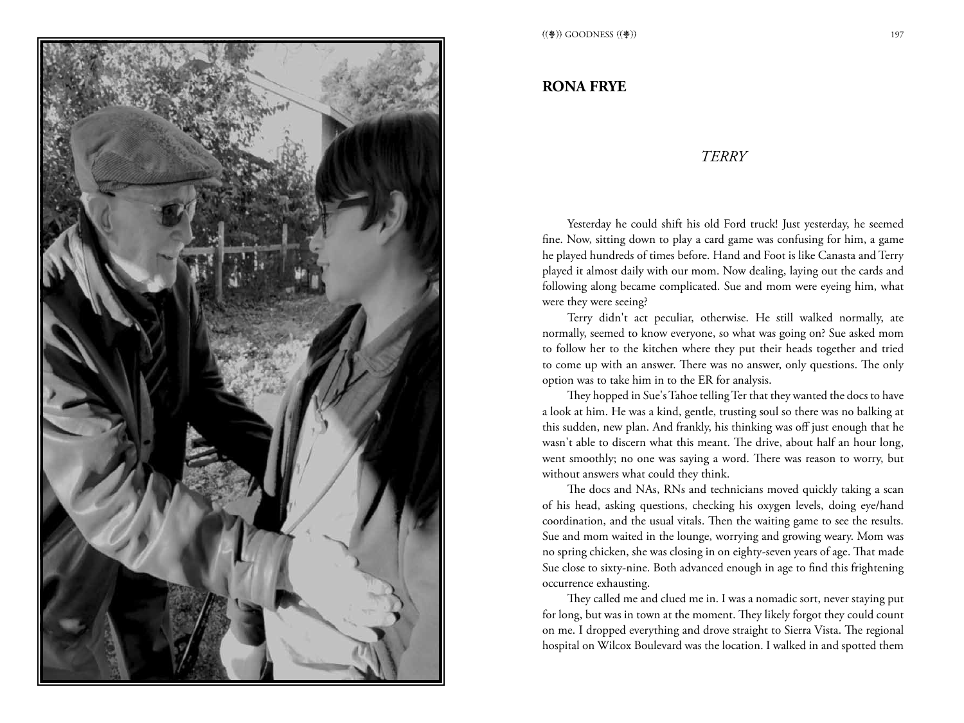

#### **RONA FRYE**

#### *Terry*

Yesterday he could shift his old Ford truck! Just yesterday, he seemed fine. Now, sitting down to play a card game was confusing for him, a game he played hundreds of times before. Hand and Foot is like Canasta and Terry played it almost daily with our mom. Now dealing, laying out the cards and following along became complicated. Sue and mom were eyeing him, what were they were seeing?

Terry didn't act peculiar, otherwise. He still walked normally, ate normally, seemed to know everyone, so what was going on? Sue asked mom to follow her to the kitchen where they put their heads together and tried to come up with an answer. There was no answer, only questions. The only option was to take him in to the ER for analysis.

They hopped in Sue's Tahoe telling Ter that they wanted the docs to have a look at him. He was a kind, gentle, trusting soul so there was no balking at this sudden, new plan. And frankly, his thinking was off just enough that he wasn't able to discern what this meant. The drive, about half an hour long, went smoothly; no one was saying a word. There was reason to worry, but without answers what could they think.

The docs and NAs, RNs and technicians moved quickly taking a scan of his head, asking questions, checking his oxygen levels, doing eye/hand coordination, and the usual vitals. Then the waiting game to see the results. Sue and mom waited in the lounge, worrying and growing weary. Mom was no spring chicken, she was closing in on eighty-seven years of age. That made Sue close to sixty-nine. Both advanced enough in age to find this frightening occurrence exhausting.

They called me and clued me in. I was a nomadic sort, never staying put for long, but was in town at the moment. They likely forgot they could count on me. I dropped everything and drove straight to Sierra Vista. The regional hospital on Wilcox Boulevard was the location. I walked in and spotted them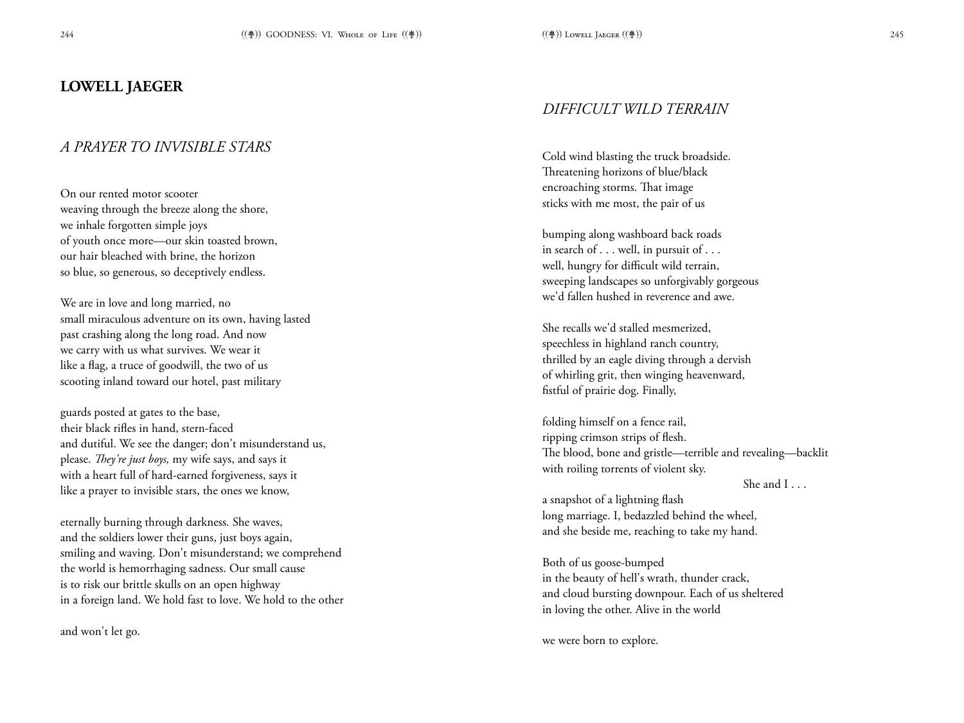## **LOWELL JAEGER**

## *A PRAYER TO INVISIBLE STARS*

On our rented motor scooter weaving through the breeze along the shore, we inhale forgotten simple joys of youth once more—our skin toasted brown, our hair bleached with brine, the horizon so blue, so generous, so deceptively endless.

We are in love and long married, no small miraculous adventure on its own, having lasted past crashing along the long road. And now we carry with us what survives. We wear it like a flag, a truce of goodwill, the two of us scooting inland toward our hotel, past military

guards posted at gates to the base, their black rifles in hand, stern-faced and dutiful. We see the danger; don't misunderstand us, please. *They're just boys,* my wife says, and says it with a heart full of hard-earned forgiveness, says it like a prayer to invisible stars, the ones we know,

eternally burning through darkness. She waves, and the soldiers lower their guns, just boys again, smiling and waving. Don't misunderstand; we comprehend the world is hemorrhaging sadness. Our small cause is to risk our brittle skulls on an open highway in a foreign land. We hold fast to love. We hold to the other

and won't let go.

## *DIFFICULT WILD TERRAIN*

Cold wind blasting the truck broadside. Threatening horizons of blue/black encroaching storms. That image sticks with me most, the pair of us

bumping along washboard back roads in search of . . . well, in pursuit of . . . well, hungry for difficult wild terrain, sweeping landscapes so unforgivably gorgeous we'd fallen hushed in reverence and awe.

She recalls we'd stalled mesmerized, speechless in highland ranch country, thrilled by an eagle diving through a dervish of whirling grit, then winging heavenward, fistful of prairie dog. Finally,

folding himself on a fence rail, ripping crimson strips of flesh. The blood, bone and gristle—terrible and revealing—backlit with roiling torrents of violent sky.

She and I . . .

a snapshot of a lightning flash long marriage. I, bedazzled behind the wheel, and she beside me, reaching to take my hand.

Both of us goose-bumped in the beauty of hell's wrath, thunder crack, and cloud bursting downpour. Each of us sheltered in loving the other. Alive in the world

we were born to explore.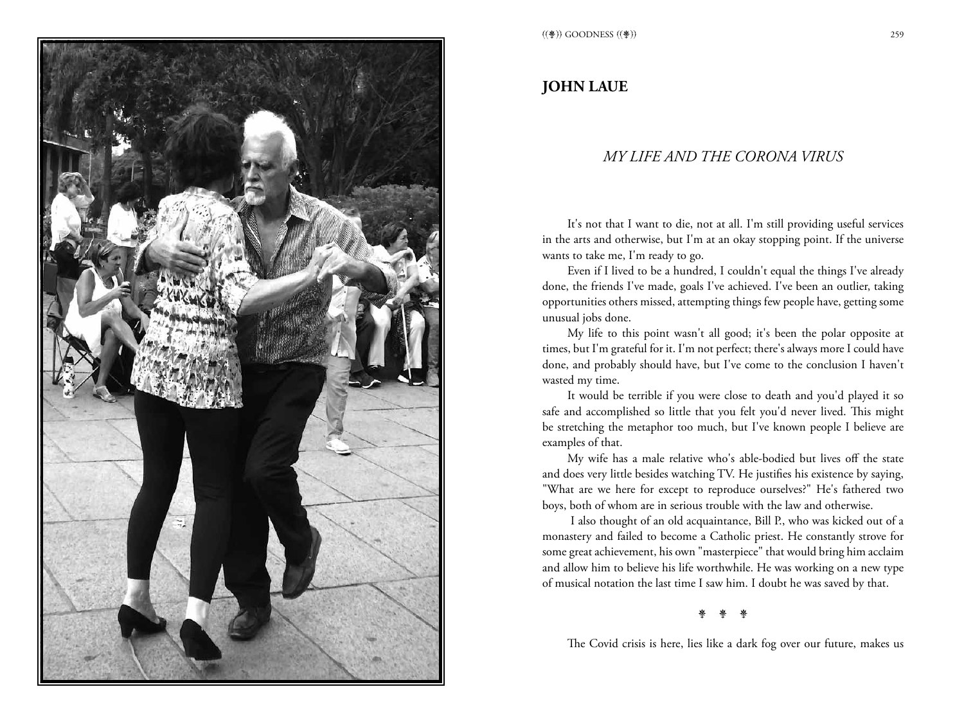

# **JOHN LAUE**

## *MY LIFE AND THE CORONA VIRUS*

It's not that I want to die, not at all. I'm still providing useful services in the arts and otherwise, but I'm at an okay stopping point. If the universe wants to take me, I'm ready to go.

Even if I lived to be a hundred, I couldn't equal the things I've already done, the friends I've made, goals I've achieved. I've been an outlier, taking opportunities others missed, attempting things few people have, getting some unusual jobs done.

My life to this point wasn't all good; it's been the polar opposite at times, but I'm grateful for it. I'm not perfect; there's always more I could have done, and probably should have, but I've come to the conclusion I haven't wasted my time.

It would be terrible if you were close to death and you'd played it so safe and accomplished so little that you felt you'd never lived. This might be stretching the metaphor too much, but I've known people I believe are examples of that.

My wife has a male relative who's able-bodied but lives off the state and does very little besides watching TV. He justifies his existence by saying, "What are we here for except to reproduce ourselves?" He's fathered two boys, both of whom are in serious trouble with the law and otherwise.

 I also thought of an old acquaintance, Bill P., who was kicked out of a monastery and failed to become a Catholic priest. He constantly strove for some great achievement, his own "masterpiece" that would bring him acclaim and allow him to believe his life worthwhile. He was working on a new type of musical notation the last time I saw him. I doubt he was saved by that.

#### 亲 亲 亲

The Covid crisis is here, lies like a dark fog over our future, makes us